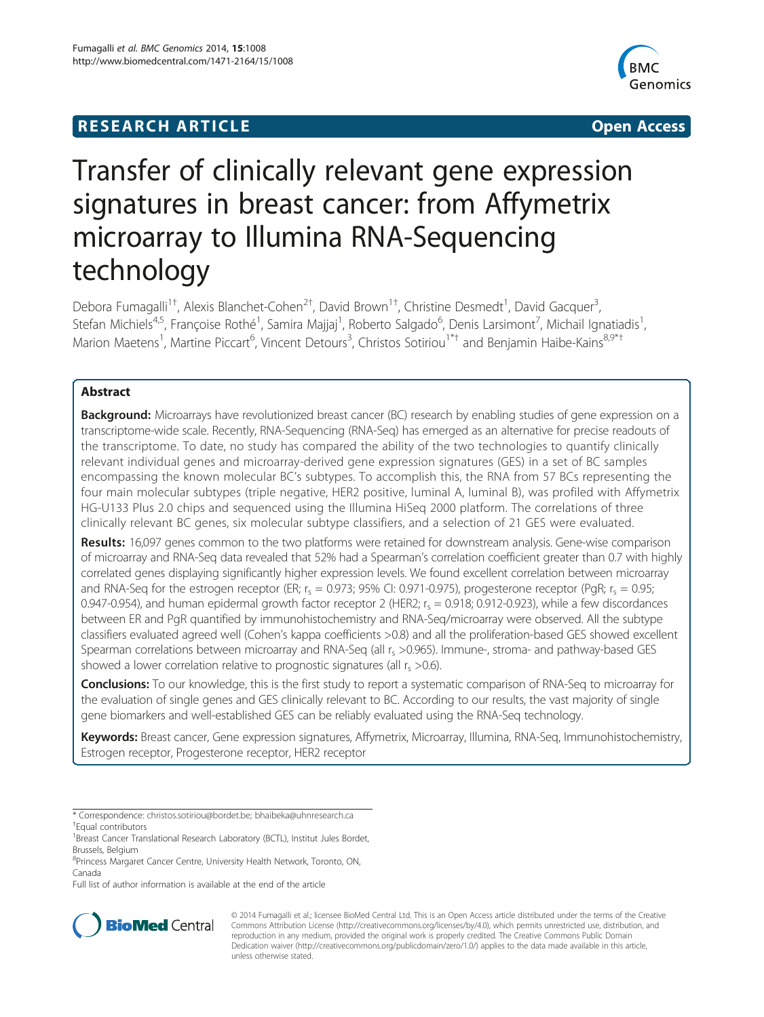## **RESEARCH ARTICLE CONSUMING A RESEARCH ARTICLE**



# Transfer of clinically relevant gene expression signatures in breast cancer: from Affymetrix microarray to Illumina RNA-Sequencing technology

Debora Fumagalli<sup>1†</sup>, Alexis Blanchet-Cohen<sup>2†</sup>, David Brown<sup>1†</sup>, Christine Desmedt<sup>1</sup>, David Gacquer<sup>3</sup> , Stefan Michiels<sup>4,5</sup>, Françoise Rothé<sup>1</sup>, Samira Majjaj<sup>1</sup>, Roberto Salgado<sup>6</sup>, Denis Larsimont<sup>7</sup>, Michail Ignatiadis<sup>1</sup> , Marion Maetens<sup>1</sup>, Martine Piccart<sup>6</sup>, Vincent Detours<sup>3</sup>, Christos Sotiriou<sup>1\*†</sup> and Benjamin Haibe-Kains<sup>8,9\*†</sup>

## Abstract

**Background:** Microarrays have revolutionized breast cancer (BC) research by enabling studies of gene expression on a transcriptome-wide scale. Recently, RNA-Sequencing (RNA-Seq) has emerged as an alternative for precise readouts of the transcriptome. To date, no study has compared the ability of the two technologies to quantify clinically relevant individual genes and microarray-derived gene expression signatures (GES) in a set of BC samples encompassing the known molecular BC's subtypes. To accomplish this, the RNA from 57 BCs representing the four main molecular subtypes (triple negative, HER2 positive, luminal A, luminal B), was profiled with Affymetrix HG-U133 Plus 2.0 chips and sequenced using the Illumina HiSeq 2000 platform. The correlations of three clinically relevant BC genes, six molecular subtype classifiers, and a selection of 21 GES were evaluated.

Results: 16,097 genes common to the two platforms were retained for downstream analysis. Gene-wise comparison of microarray and RNA-Seq data revealed that 52% had a Spearman's correlation coefficient greater than 0.7 with highly correlated genes displaying significantly higher expression levels. We found excellent correlation between microarray and RNA-Seq for the estrogen receptor (ER;  $r_s = 0.973$ ; 95% CI: 0.971-0.975), progesterone receptor (PqR;  $r_s = 0.95$ ; 0.947-0.954), and human epidermal growth factor receptor 2 (HER2;  $r_s = 0.918$ ; 0.912-0.923), while a few discordances between ER and PgR quantified by immunohistochemistry and RNA-Seq/microarray were observed. All the subtype classifiers evaluated agreed well (Cohen's kappa coefficients >0.8) and all the proliferation-based GES showed excellent Spearman correlations between microarray and RNA-Seq (all  $r_s > 0.965$ ). Immune-, stroma- and pathway-based GES showed a lower correlation relative to prognostic signatures (all  $r_s > 0.6$ ).

Conclusions: To our knowledge, this is the first study to report a systematic comparison of RNA-Seq to microarray for the evaluation of single genes and GES clinically relevant to BC. According to our results, the vast majority of single gene biomarkers and well-established GES can be reliably evaluated using the RNA-Seq technology.

Keywords: Breast cancer, Gene expression signatures, Affymetrix, Microarray, Illumina, RNA-Seg, Immunohistochemistry, Estrogen receptor, Progesterone receptor, HER2 receptor

Full list of author information is available at the end of the article



© 2014 Fumagalli et al.; licensee BioMed Central Ltd. This is an Open Access article distributed under the terms of the Creative Commons Attribution License [\(http://creativecommons.org/licenses/by/4.0\)](http://creativecommons.org/licenses/by/4.0), which permits unrestricted use, distribution, and reproduction in any medium, provided the original work is properly credited. The Creative Commons Public Domain Dedication waiver [\(http://creativecommons.org/publicdomain/zero/1.0/](http://creativecommons.org/publicdomain/zero/1.0/)) applies to the data made available in this article, unless otherwise stated.

<sup>\*</sup> Correspondence: [christos.sotiriou@bordet.be](mailto:christos.sotiriou@bordet.be); [bhaibeka@uhnresearch.ca](mailto:bhaibeka@uhnresearch.ca) † Equal contributors

<sup>&</sup>lt;sup>1</sup> Breast Cancer Translational Research Laboratory (BCTL), Institut Jules Bordet, Brussels, Belgium

<sup>8</sup> Princess Margaret Cancer Centre, University Health Network, Toronto, ON, Canada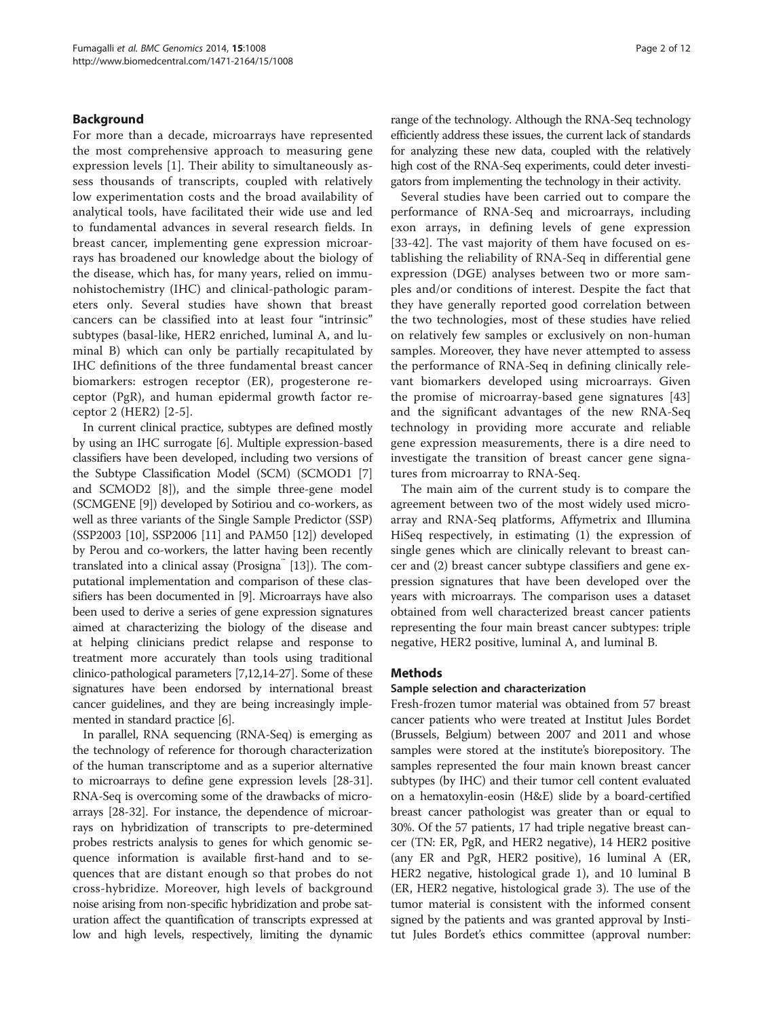## <span id="page-1-0"></span>Background

For more than a decade, microarrays have represented the most comprehensive approach to measuring gene expression levels [\[1](#page-9-0)]. Their ability to simultaneously assess thousands of transcripts, coupled with relatively low experimentation costs and the broad availability of analytical tools, have facilitated their wide use and led to fundamental advances in several research fields. In breast cancer, implementing gene expression microarrays has broadened our knowledge about the biology of the disease, which has, for many years, relied on immunohistochemistry (IHC) and clinical-pathologic parameters only. Several studies have shown that breast cancers can be classified into at least four "intrinsic" subtypes (basal-like, HER2 enriched, luminal A, and luminal B) which can only be partially recapitulated by IHC definitions of the three fundamental breast cancer biomarkers: estrogen receptor (ER), progesterone receptor (PgR), and human epidermal growth factor receptor 2 (HER2) [\[2](#page-9-0)-[5\]](#page-9-0).

In current clinical practice, subtypes are defined mostly by using an IHC surrogate [\[6](#page-9-0)]. Multiple expression-based classifiers have been developed, including two versions of the Subtype Classification Model (SCM) (SCMOD1 [[7](#page-9-0)] and SCMOD2 [\[8](#page-9-0)]), and the simple three-gene model (SCMGENE [[9](#page-9-0)]) developed by Sotiriou and co-workers, as well as three variants of the Single Sample Predictor (SSP) (SSP2003 [[10](#page-9-0)], SSP2006 [[11](#page-9-0)] and PAM50 [\[12\]](#page-9-0)) developed by Perou and co-workers, the latter having been recently translated into a clinical assay (Prosigna™ [\[13\]](#page-9-0)). The computational implementation and comparison of these classifiers has been documented in [\[9\]](#page-9-0). Microarrays have also been used to derive a series of gene expression signatures aimed at characterizing the biology of the disease and at helping clinicians predict relapse and response to treatment more accurately than tools using traditional clinico-pathological parameters [\[7,12,14-27\]](#page-9-0). Some of these signatures have been endorsed by international breast cancer guidelines, and they are being increasingly implemented in standard practice [\[6\]](#page-9-0).

In parallel, RNA sequencing (RNA-Seq) is emerging as the technology of reference for thorough characterization of the human transcriptome and as a superior alternative to microarrays to define gene expression levels [[28](#page-9-0)-[31](#page-10-0)]. RNA-Seq is overcoming some of the drawbacks of microarrays [[28](#page-9-0)-[32](#page-10-0)]. For instance, the dependence of microarrays on hybridization of transcripts to pre-determined probes restricts analysis to genes for which genomic sequence information is available first-hand and to sequences that are distant enough so that probes do not cross-hybridize. Moreover, high levels of background noise arising from non-specific hybridization and probe saturation affect the quantification of transcripts expressed at low and high levels, respectively, limiting the dynamic range of the technology. Although the RNA-Seq technology efficiently address these issues, the current lack of standards for analyzing these new data, coupled with the relatively high cost of the RNA-Seq experiments, could deter investigators from implementing the technology in their activity.

Several studies have been carried out to compare the performance of RNA-Seq and microarrays, including exon arrays, in defining levels of gene expression [[33-42\]](#page-10-0). The vast majority of them have focused on establishing the reliability of RNA-Seq in differential gene expression (DGE) analyses between two or more samples and/or conditions of interest. Despite the fact that they have generally reported good correlation between the two technologies, most of these studies have relied on relatively few samples or exclusively on non-human samples. Moreover, they have never attempted to assess the performance of RNA-Seq in defining clinically relevant biomarkers developed using microarrays. Given the promise of microarray-based gene signatures [\[43](#page-10-0)] and the significant advantages of the new RNA-Seq technology in providing more accurate and reliable gene expression measurements, there is a dire need to investigate the transition of breast cancer gene signatures from microarray to RNA-Seq.

The main aim of the current study is to compare the agreement between two of the most widely used microarray and RNA-Seq platforms, Affymetrix and Illumina HiSeq respectively, in estimating (1) the expression of single genes which are clinically relevant to breast cancer and (2) breast cancer subtype classifiers and gene expression signatures that have been developed over the years with microarrays. The comparison uses a dataset obtained from well characterized breast cancer patients representing the four main breast cancer subtypes: triple negative, HER2 positive, luminal A, and luminal B.

## Methods

## Sample selection and characterization

Fresh-frozen tumor material was obtained from 57 breast cancer patients who were treated at Institut Jules Bordet (Brussels, Belgium) between 2007 and 2011 and whose samples were stored at the institute's biorepository. The samples represented the four main known breast cancer subtypes (by IHC) and their tumor cell content evaluated on a hematoxylin-eosin (H&E) slide by a board-certified breast cancer pathologist was greater than or equal to 30%. Of the 57 patients, 17 had triple negative breast cancer (TN: ER, PgR, and HER2 negative), 14 HER2 positive (any ER and PgR, HER2 positive), 16 luminal A (ER, HER2 negative, histological grade 1), and 10 luminal B (ER, HER2 negative, histological grade 3). The use of the tumor material is consistent with the informed consent signed by the patients and was granted approval by Institut Jules Bordet's ethics committee (approval number: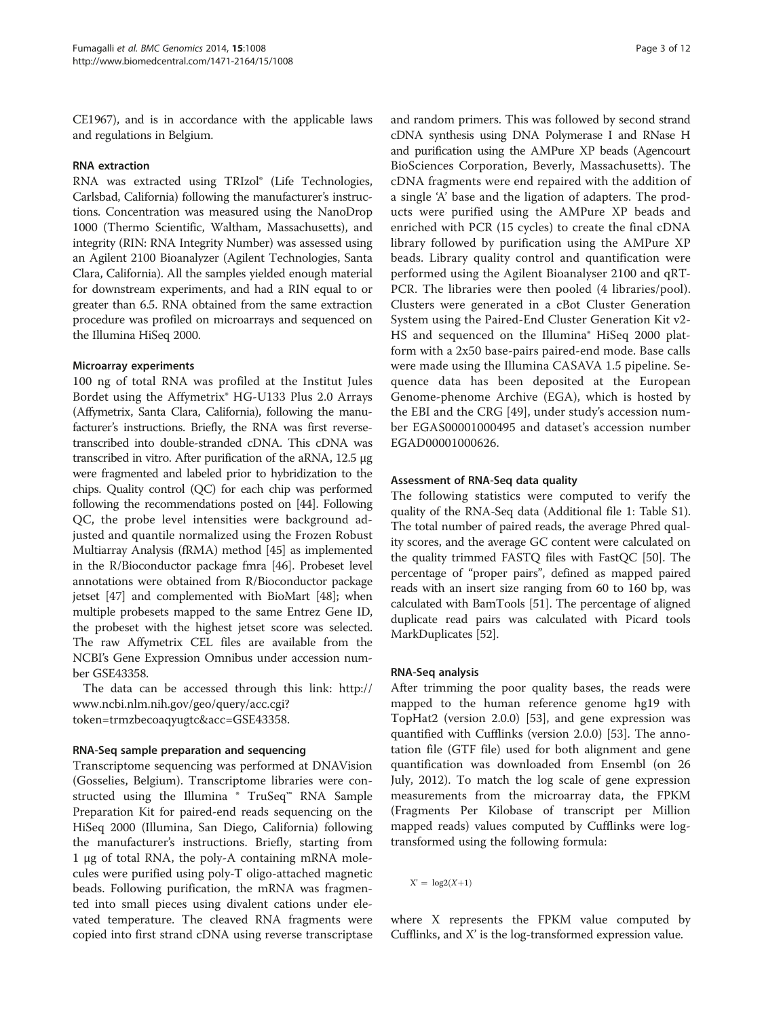CE1967), and is in accordance with the applicable laws and regulations in Belgium.

## RNA extraction

RNA was extracted using TRIzol® (Life Technologies, Carlsbad, California) following the manufacturer's instructions. Concentration was measured using the NanoDrop 1000 (Thermo Scientific, Waltham, Massachusetts), and integrity (RIN: RNA Integrity Number) was assessed using an Agilent 2100 Bioanalyzer (Agilent Technologies, Santa Clara, California). All the samples yielded enough material for downstream experiments, and had a RIN equal to or greater than 6.5. RNA obtained from the same extraction procedure was profiled on microarrays and sequenced on the Illumina HiSeq 2000.

#### Microarray experiments

100 ng of total RNA was profiled at the Institut Jules Bordet using the Affymetrix® HG-U133 Plus 2.0 Arrays (Affymetrix, Santa Clara, California), following the manufacturer's instructions. Briefly, the RNA was first reversetranscribed into double-stranded cDNA. This cDNA was transcribed in vitro. After purification of the aRNA, 12.5 μg were fragmented and labeled prior to hybridization to the chips. Quality control (QC) for each chip was performed following the recommendations posted on [\[44](#page-10-0)]. Following QC, the probe level intensities were background adjusted and quantile normalized using the Frozen Robust Multiarray Analysis (fRMA) method [\[45\]](#page-10-0) as implemented in the R/Bioconductor package fmra [\[46\]](#page-10-0). Probeset level annotations were obtained from R/Bioconductor package jetset [\[47\]](#page-10-0) and complemented with BioMart [\[48](#page-10-0)]; when multiple probesets mapped to the same Entrez Gene ID, the probeset with the highest jetset score was selected. The raw Affymetrix CEL files are available from the NCBI's Gene Expression Omnibus under accession number GSE43358.

The data can be accessed through this link: [http://](http://www.ncbi.nlm.nih.gov/geo/query/acc.cgi?token=trmzbecoaqyugtc&acc=GSE43358) [www.ncbi.nlm.nih.gov/geo/query/acc.cgi?](http://www.ncbi.nlm.nih.gov/geo/query/acc.cgi?token=trmzbecoaqyugtc&acc=GSE43358) [token=trmzbecoaqyugtc&acc=GSE43358.](http://www.ncbi.nlm.nih.gov/geo/query/acc.cgi?token=trmzbecoaqyugtc&acc=GSE43358)

#### RNA-Seq sample preparation and sequencing

Transcriptome sequencing was performed at DNAVision (Gosselies, Belgium). Transcriptome libraries were constructed using the Illumina ® TruSeq™ RNA Sample Preparation Kit for paired-end reads sequencing on the HiSeq 2000 (Illumina, San Diego, California) following the manufacturer's instructions. Briefly, starting from 1 μg of total RNA, the poly-A containing mRNA molecules were purified using poly-T oligo-attached magnetic beads. Following purification, the mRNA was fragmented into small pieces using divalent cations under elevated temperature. The cleaved RNA fragments were copied into first strand cDNA using reverse transcriptase

and random primers. This was followed by second strand cDNA synthesis using DNA Polymerase I and RNase H and purification using the AMPure XP beads (Agencourt BioSciences Corporation, Beverly, Massachusetts). The cDNA fragments were end repaired with the addition of a single 'A' base and the ligation of adapters. The products were purified using the AMPure XP beads and enriched with PCR (15 cycles) to create the final cDNA library followed by purification using the AMPure XP beads. Library quality control and quantification were performed using the Agilent Bioanalyser 2100 and qRT-PCR. The libraries were then pooled (4 libraries/pool). Clusters were generated in a cBot Cluster Generation System using the Paired-End Cluster Generation Kit v2- HS and sequenced on the Illumina® HiSeq 2000 platform with a 2x50 base-pairs paired-end mode. Base calls were made using the Illumina CASAVA 1.5 pipeline. Sequence data has been deposited at the European Genome-phenome Archive (EGA), which is hosted by the EBI and the CRG [\[49](#page-10-0)], under study's accession number EGAS00001000495 and dataset's accession number EGAD00001000626.

## Assessment of RNA-Seq data quality

The following statistics were computed to verify the quality of the RNA-Seq data (Additional file [1](#page-8-0): Table S1). The total number of paired reads, the average Phred quality scores, and the average GC content were calculated on the quality trimmed FASTQ files with FastQC [[50](#page-10-0)]. The percentage of "proper pairs", defined as mapped paired reads with an insert size ranging from 60 to 160 bp, was calculated with BamTools [[51](#page-10-0)]. The percentage of aligned duplicate read pairs was calculated with Picard tools MarkDuplicates [\[52\]](#page-10-0).

## RNA-Seq analysis

After trimming the poor quality bases, the reads were mapped to the human reference genome hg19 with TopHat2 (version 2.0.0) [\[53\]](#page-10-0), and gene expression was quantified with Cufflinks (version 2.0.0) [\[53](#page-10-0)]. The annotation file (GTF file) used for both alignment and gene quantification was downloaded from Ensembl (on 26 July, 2012). To match the log scale of gene expression measurements from the microarray data, the FPKM (Fragments Per Kilobase of transcript per Million mapped reads) values computed by Cufflinks were logtransformed using the following formula:

 $X' = \log(2(X+1))$ 

where X represents the FPKM value computed by Cufflinks, and X' is the log-transformed expression value.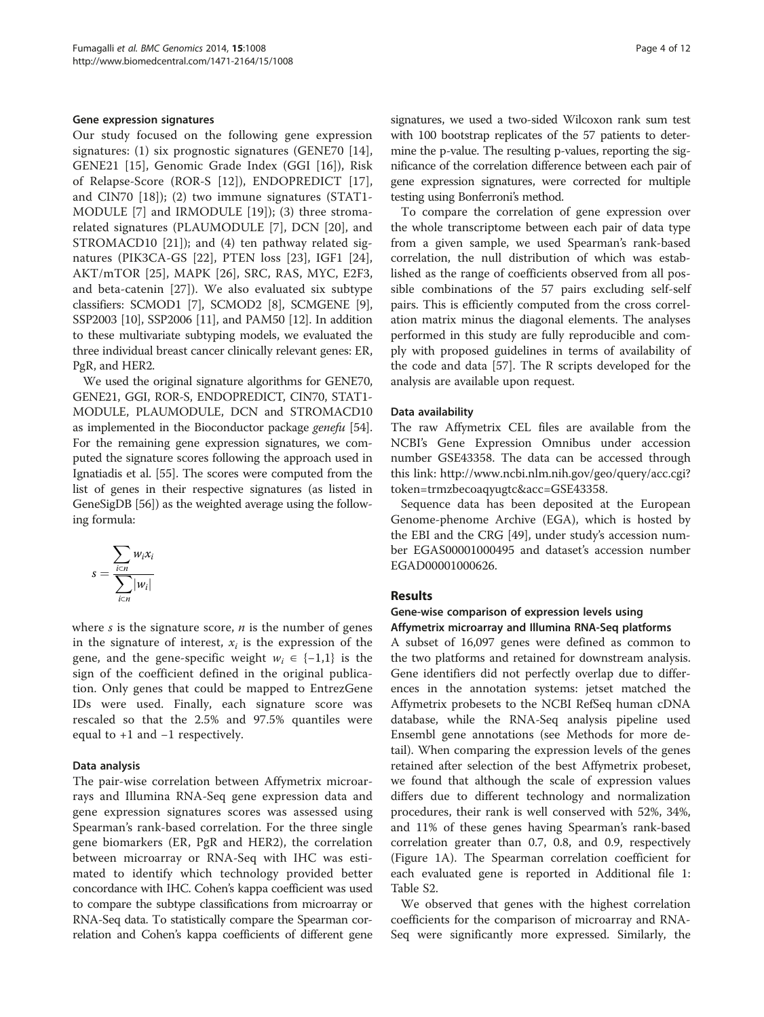#### Gene expression signatures

Our study focused on the following gene expression signatures: (1) six prognostic signatures (GENE70 [\[14](#page-9-0)], GENE21 [[15\]](#page-9-0), Genomic Grade Index (GGI [[16\]](#page-9-0)), Risk of Relapse-Score (ROR-S [[12](#page-9-0)]), ENDOPREDICT [\[17](#page-9-0)], and CIN70 [\[18](#page-9-0)]); (2) two immune signatures (STAT1- MODULE [\[7](#page-9-0)] and IRMODULE [[19\]](#page-9-0)); (3) three stromarelated signatures (PLAUMODULE [[7](#page-9-0)], DCN [[20](#page-9-0)], and STROMACD10 [[21\]](#page-9-0)); and (4) ten pathway related signatures (PIK3CA-GS [[22\]](#page-9-0), PTEN loss [[23\]](#page-9-0), IGF1 [\[24](#page-9-0)], AKT/mTOR [\[25](#page-9-0)], MAPK [\[26](#page-9-0)], SRC, RAS, MYC, E2F3, and beta-catenin [[27\]](#page-9-0)). We also evaluated six subtype classifiers: SCMOD1 [\[7](#page-9-0)], SCMOD2 [\[8\]](#page-9-0), SCMGENE [[9](#page-9-0)], SSP2003 [\[10\]](#page-9-0), SSP2006 [[11](#page-9-0)], and PAM50 [\[12\]](#page-9-0). In addition to these multivariate subtyping models, we evaluated the three individual breast cancer clinically relevant genes: ER, PgR, and HER2.

We used the original signature algorithms for GENE70, GENE21, GGI, ROR-S, ENDOPREDICT, CIN70, STAT1- MODULE, PLAUMODULE, DCN and STROMACD10 as implemented in the Bioconductor package genefu [[54](#page-10-0)]. For the remaining gene expression signatures, we computed the signature scores following the approach used in Ignatiadis et al. [\[55\]](#page-10-0). The scores were computed from the list of genes in their respective signatures (as listed in GeneSigDB [\[56\]](#page-10-0)) as the weighted average using the following formula:

$$
s = \frac{\sum_{i \in n} w_i x_i}{\sum_{i \in n} |w_i|}
$$

where  $s$  is the signature score,  $n$  is the number of genes in the signature of interest,  $x_i$  is the expression of the gene, and the gene-specific weight  $w_i \in \{-1,1\}$  is the sign of the coefficient defined in the original publication. Only genes that could be mapped to EntrezGene IDs were used. Finally, each signature score was rescaled so that the 2.5% and 97.5% quantiles were equal to +1 and −1 respectively.

## Data analysis

The pair-wise correlation between Affymetrix microarrays and Illumina RNA-Seq gene expression data and gene expression signatures scores was assessed using Spearman's rank-based correlation. For the three single gene biomarkers (ER, PgR and HER2), the correlation between microarray or RNA-Seq with IHC was estimated to identify which technology provided better concordance with IHC. Cohen's kappa coefficient was used to compare the subtype classifications from microarray or RNA-Seq data. To statistically compare the Spearman correlation and Cohen's kappa coefficients of different gene signatures, we used a two-sided Wilcoxon rank sum test with 100 bootstrap replicates of the 57 patients to determine the p-value. The resulting p-values, reporting the significance of the correlation difference between each pair of gene expression signatures, were corrected for multiple testing using Bonferroni's method.

To compare the correlation of gene expression over the whole transcriptome between each pair of data type from a given sample, we used Spearman's rank-based correlation, the null distribution of which was established as the range of coefficients observed from all possible combinations of the 57 pairs excluding self-self pairs. This is efficiently computed from the cross correlation matrix minus the diagonal elements. The analyses performed in this study are fully reproducible and comply with proposed guidelines in terms of availability of the code and data [[57\]](#page-10-0). The R scripts developed for the analysis are available upon request.

#### Data availability

The raw Affymetrix CEL files are available from the NCBI's Gene Expression Omnibus under accession number GSE43358. The data can be accessed through this link: [http://www.ncbi.nlm.nih.gov/geo/query/acc.cgi?](http://www.ncbi.nlm.nih.gov/geo/query/acc.cgi?token=trmzbecoaqyugtc&acc=GSE43358) [token=trmzbecoaqyugtc&acc=GSE43358.](http://www.ncbi.nlm.nih.gov/geo/query/acc.cgi?token=trmzbecoaqyugtc&acc=GSE43358)

Sequence data has been deposited at the European Genome-phenome Archive (EGA), which is hosted by the EBI and the CRG [\[49\]](#page-10-0), under study's accession number EGAS00001000495 and dataset's accession number EGAD00001000626.

## Results

## Gene-wise comparison of expression levels using Affymetrix microarray and Illumina RNA-Seq platforms

A subset of 16,097 genes were defined as common to the two platforms and retained for downstream analysis. Gene identifiers did not perfectly overlap due to differences in the annotation systems: jetset matched the Affymetrix probesets to the NCBI RefSeq human cDNA database, while the RNA-Seq analysis pipeline used Ensembl gene annotations (see [Methods](#page-1-0) for more detail). When comparing the expression levels of the genes retained after selection of the best Affymetrix probeset, we found that although the scale of expression values differs due to different technology and normalization procedures, their rank is well conserved with 52%, 34%, and 11% of these genes having Spearman's rank-based correlation greater than 0.7, 0.8, and 0.9, respectively (Figure [1A](#page-4-0)). The Spearman correlation coefficient for each evaluated gene is reported in Additional file [1](#page-8-0): Table S2.

We observed that genes with the highest correlation coefficients for the comparison of microarray and RNA-Seq were significantly more expressed. Similarly, the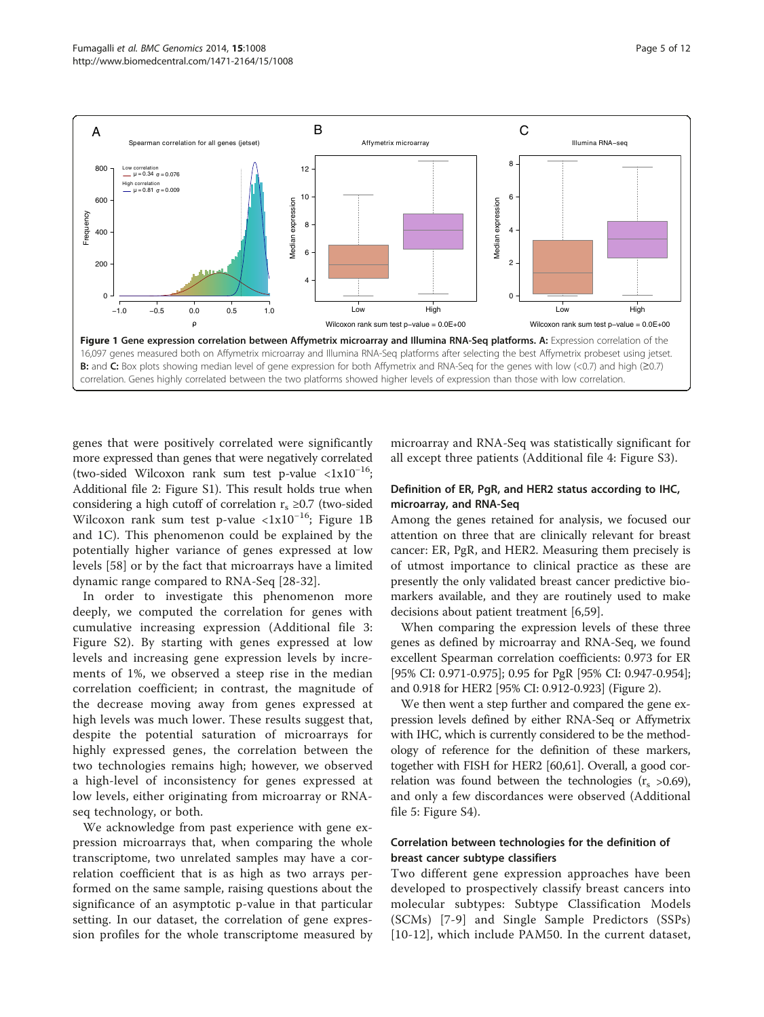<span id="page-4-0"></span>

genes that were positively correlated were significantly more expressed than genes that were negatively correlated (two-sided Wilcoxon rank sum test p-value <1x10<sup>−</sup>16; Additional file [2](#page-8-0): Figure S1). This result holds true when considering a high cutoff of correlation  $r_s \geq 0.7$  (two-sided Wilcoxon rank sum test p-value <1x10<sup>−</sup>16; Figure 1B and 1C). This phenomenon could be explained by the potentially higher variance of genes expressed at low levels [[58\]](#page-10-0) or by the fact that microarrays have a limited dynamic range compared to RNA-Seq [[28-](#page-9-0)[32](#page-10-0)].

In order to investigate this phenomenon more deeply, we computed the correlation for genes with cumulative increasing expression (Additional file [3](#page-8-0): Figure S2). By starting with genes expressed at low levels and increasing gene expression levels by increments of 1%, we observed a steep rise in the median correlation coefficient; in contrast, the magnitude of the decrease moving away from genes expressed at high levels was much lower. These results suggest that, despite the potential saturation of microarrays for highly expressed genes, the correlation between the two technologies remains high; however, we observed a high-level of inconsistency for genes expressed at low levels, either originating from microarray or RNAseq technology, or both.

We acknowledge from past experience with gene expression microarrays that, when comparing the whole transcriptome, two unrelated samples may have a correlation coefficient that is as high as two arrays performed on the same sample, raising questions about the significance of an asymptotic p-value in that particular setting. In our dataset, the correlation of gene expression profiles for the whole transcriptome measured by

microarray and RNA-Seq was statistically significant for all except three patients (Additional file [4](#page-8-0): Figure S3).

## Definition of ER, PgR, and HER2 status according to IHC, microarray, and RNA-Seq

Among the genes retained for analysis, we focused our attention on three that are clinically relevant for breast cancer: ER, PgR, and HER2. Measuring them precisely is of utmost importance to clinical practice as these are presently the only validated breast cancer predictive biomarkers available, and they are routinely used to make decisions about patient treatment [\[6](#page-9-0)[,59](#page-10-0)].

When comparing the expression levels of these three genes as defined by microarray and RNA-Seq, we found excellent Spearman correlation coefficients: 0.973 for ER [95% CI: 0.971-0.975]; 0.95 for PgR [95% CI: 0.947-0.954]; and 0.918 for HER2 [95% CI: 0.912-0.923] (Figure [2](#page-5-0)).

We then went a step further and compared the gene expression levels defined by either RNA-Seq or Affymetrix with IHC, which is currently considered to be the methodology of reference for the definition of these markers, together with FISH for HER2 [[60](#page-10-0),[61](#page-10-0)]. Overall, a good correlation was found between the technologies  $(r_s > 0.69)$ , and only a few discordances were observed (Additional file [5](#page-8-0): Figure S4).

## Correlation between technologies for the definition of breast cancer subtype classifiers

Two different gene expression approaches have been developed to prospectively classify breast cancers into molecular subtypes: Subtype Classification Models (SCMs) [[7-9\]](#page-9-0) and Single Sample Predictors (SSPs) [[10](#page-9-0)-[12](#page-9-0)], which include PAM50. In the current dataset,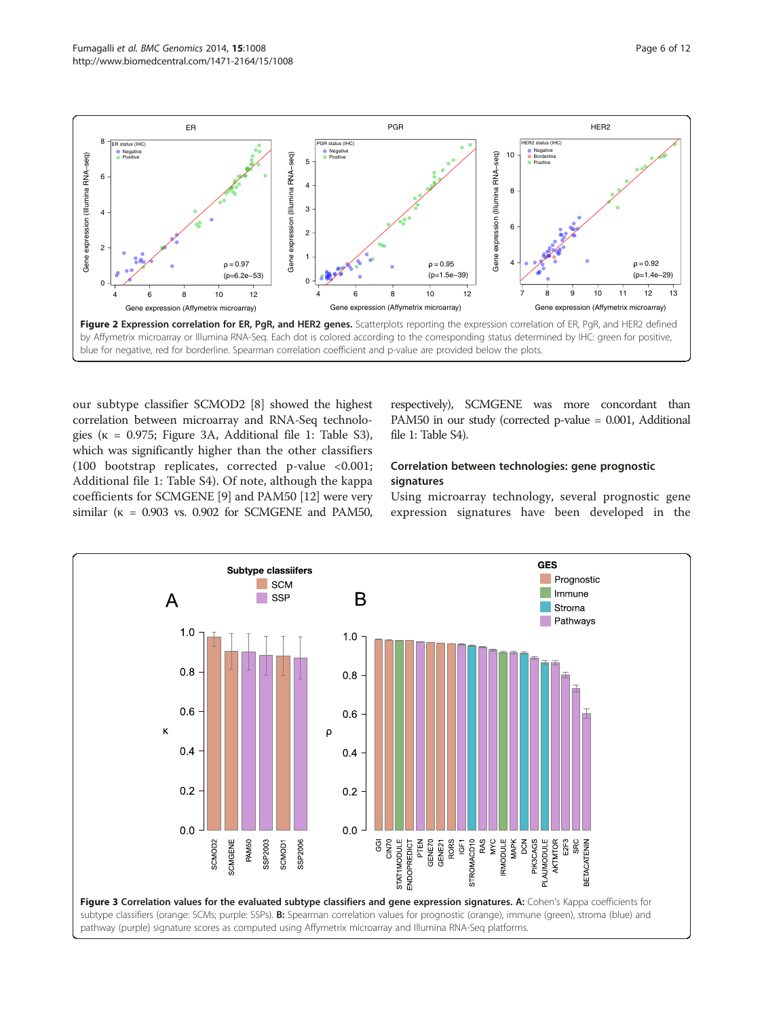<span id="page-5-0"></span>

our subtype classifier SCMOD2 [\[8](#page-9-0)] showed the highest correlation between microarray and RNA-Seq technologies ( $\kappa$  = 0.975; Figure 3A, Additional file [1](#page-8-0): Table S3), which was significantly higher than the other classifiers (100 bootstrap replicates, corrected p-value <0.001; Additional file [1:](#page-8-0) Table S4). Of note, although the kappa coefficients for SCMGENE [[9\]](#page-9-0) and PAM50 [[12\]](#page-9-0) were very similar ( $\kappa$  = 0.903 vs. 0.902 for SCMGENE and PAM50,

respectively), SCMGENE was more concordant than PAM50 in our study (corrected p-value = 0.001, Additional file [1](#page-8-0): Table S4).

## Correlation between technologies: gene prognostic signatures

Using microarray technology, several prognostic gene expression signatures have been developed in the

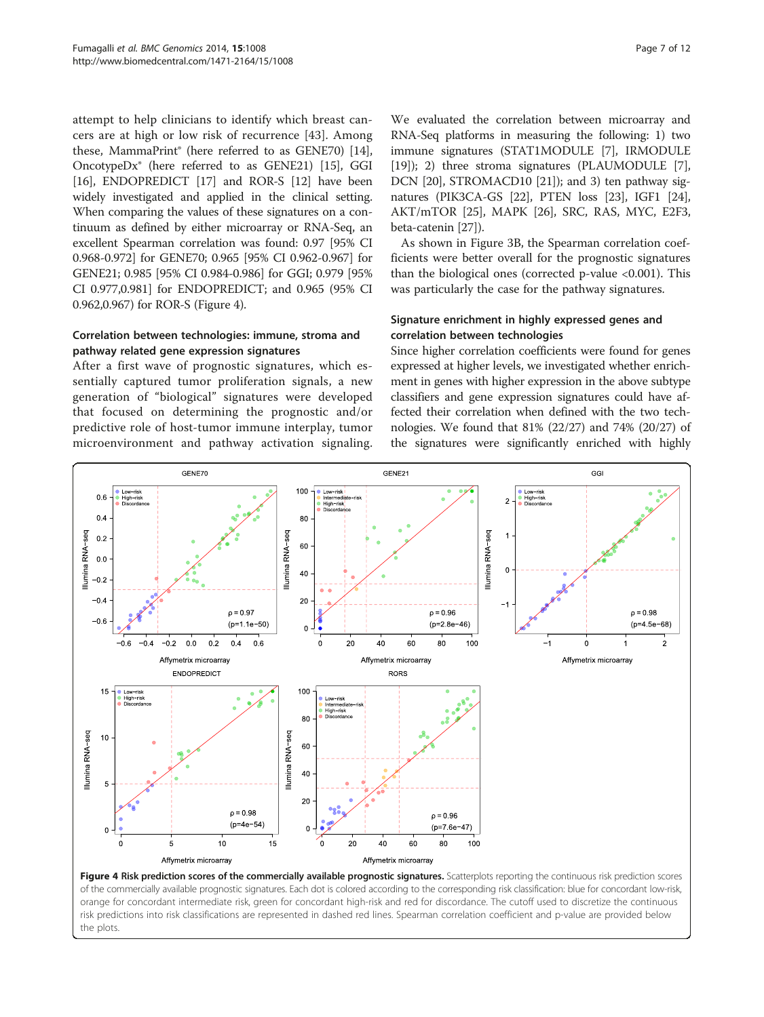attempt to help clinicians to identify which breast cancers are at high or low risk of recurrence [[43\]](#page-10-0). Among these, MammaPrint® (here referred to as GENE70) [[14](#page-9-0)], OncotypeDx® (here referred to as GENE21) [[15](#page-9-0)], GGI [[16](#page-9-0)], ENDOPREDICT [\[17\]](#page-9-0) and ROR-S [\[12\]](#page-9-0) have been widely investigated and applied in the clinical setting. When comparing the values of these signatures on a continuum as defined by either microarray or RNA-Seq, an excellent Spearman correlation was found: 0.97 [95% CI 0.968-0.972] for GENE70; 0.965 [95% CI 0.962-0.967] for GENE21; 0.985 [95% CI 0.984-0.986] for GGI; 0.979 [95% CI 0.977,0.981] for ENDOPREDICT; and 0.965 (95% CI 0.962,0.967) for ROR-S (Figure 4).

## Correlation between technologies: immune, stroma and pathway related gene expression signatures

After a first wave of prognostic signatures, which essentially captured tumor proliferation signals, a new generation of "biological" signatures were developed that focused on determining the prognostic and/or predictive role of host-tumor immune interplay, tumor microenvironment and pathway activation signaling.

We evaluated the correlation between microarray and RNA-Seq platforms in measuring the following: 1) two immune signatures (STAT1MODULE [\[7\]](#page-9-0), IRMODULE [[19](#page-9-0)]); 2) three stroma signatures (PLAUMODULE [[7](#page-9-0)], DCN [\[20](#page-9-0)], STROMACD10 [\[21\]](#page-9-0)); and 3) ten pathway signatures (PIK3CA-GS [[22](#page-9-0)], PTEN loss [[23](#page-9-0)], IGF1 [[24](#page-9-0)], AKT/mTOR [[25](#page-9-0)], MAPK [\[26\]](#page-9-0), SRC, RAS, MYC, E2F3, beta-catenin [[27](#page-9-0)]).

As shown in Figure [3](#page-5-0)B, the Spearman correlation coefficients were better overall for the prognostic signatures than the biological ones (corrected p-value <0.001). This was particularly the case for the pathway signatures.

## Signature enrichment in highly expressed genes and correlation between technologies

Since higher correlation coefficients were found for genes expressed at higher levels, we investigated whether enrichment in genes with higher expression in the above subtype classifiers and gene expression signatures could have affected their correlation when defined with the two technologies. We found that 81% (22/27) and 74% (20/27) of the signatures were significantly enriched with highly



of the commercially available prognostic signatures. Each dot is colored according to the corresponding risk classification: blue for concordant low-risk, orange for concordant intermediate risk, green for concordant high-risk and red for discordance. The cutoff used to discretize the continuous risk predictions into risk classifications are represented in dashed red lines. Spearman correlation coefficient and p-value are provided below the plots.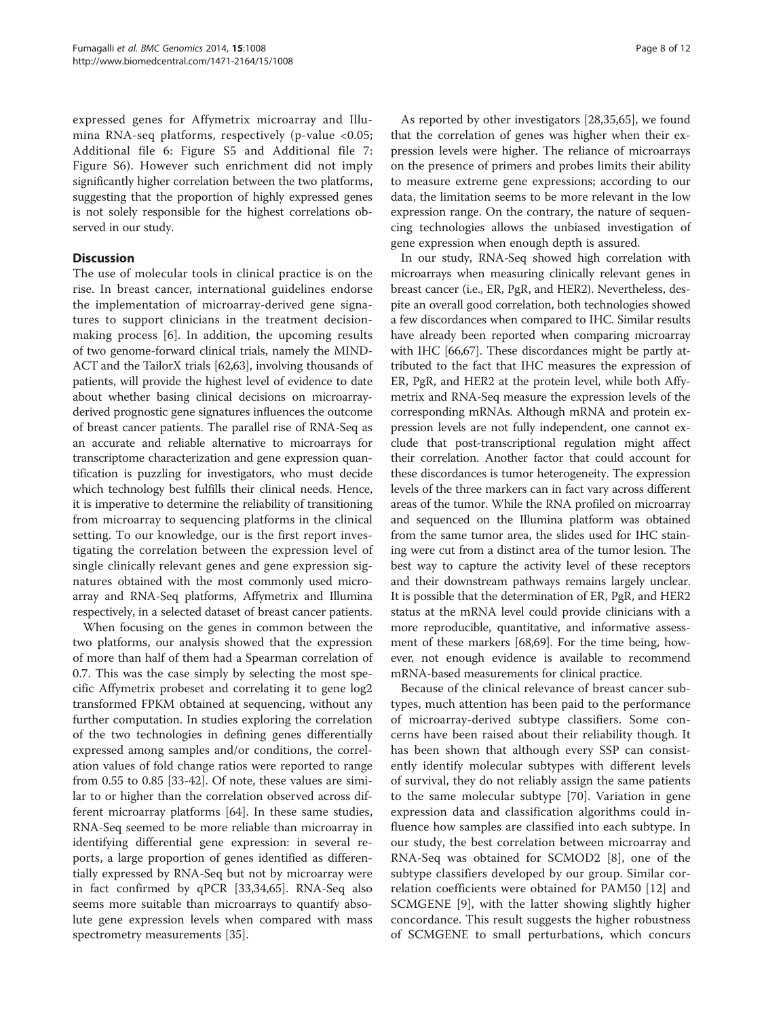expressed genes for Affymetrix microarray and Illumina RNA-seq platforms, respectively (p-value <0.05; Additional file [6](#page-8-0): Figure S5 and Additional file [7](#page-8-0): Figure S6). However such enrichment did not imply significantly higher correlation between the two platforms, suggesting that the proportion of highly expressed genes is not solely responsible for the highest correlations observed in our study.

## **Discussion**

The use of molecular tools in clinical practice is on the rise. In breast cancer, international guidelines endorse the implementation of microarray-derived gene signatures to support clinicians in the treatment decisionmaking process [\[6](#page-9-0)]. In addition, the upcoming results of two genome-forward clinical trials, namely the MIND-ACT and the TailorX trials [\[62,63](#page-10-0)], involving thousands of patients, will provide the highest level of evidence to date about whether basing clinical decisions on microarrayderived prognostic gene signatures influences the outcome of breast cancer patients. The parallel rise of RNA-Seq as an accurate and reliable alternative to microarrays for transcriptome characterization and gene expression quantification is puzzling for investigators, who must decide which technology best fulfills their clinical needs. Hence, it is imperative to determine the reliability of transitioning from microarray to sequencing platforms in the clinical setting. To our knowledge, our is the first report investigating the correlation between the expression level of single clinically relevant genes and gene expression signatures obtained with the most commonly used microarray and RNA-Seq platforms, Affymetrix and Illumina respectively, in a selected dataset of breast cancer patients.

When focusing on the genes in common between the two platforms, our analysis showed that the expression of more than half of them had a Spearman correlation of 0.7. This was the case simply by selecting the most specific Affymetrix probeset and correlating it to gene log2 transformed FPKM obtained at sequencing, without any further computation. In studies exploring the correlation of the two technologies in defining genes differentially expressed among samples and/or conditions, the correlation values of fold change ratios were reported to range from 0.55 to 0.85 [[33-42](#page-10-0)]. Of note, these values are similar to or higher than the correlation observed across different microarray platforms [[64\]](#page-10-0). In these same studies, RNA-Seq seemed to be more reliable than microarray in identifying differential gene expression: in several reports, a large proportion of genes identified as differentially expressed by RNA-Seq but not by microarray were in fact confirmed by qPCR [[33,34,65\]](#page-10-0). RNA-Seq also seems more suitable than microarrays to quantify absolute gene expression levels when compared with mass spectrometry measurements [[35\]](#page-10-0).

As reported by other investigators [[28](#page-9-0)[,35,65](#page-10-0)], we found that the correlation of genes was higher when their expression levels were higher. The reliance of microarrays on the presence of primers and probes limits their ability to measure extreme gene expressions; according to our data, the limitation seems to be more relevant in the low expression range. On the contrary, the nature of sequencing technologies allows the unbiased investigation of gene expression when enough depth is assured.

In our study, RNA-Seq showed high correlation with microarrays when measuring clinically relevant genes in breast cancer (i.e., ER, PgR, and HER2). Nevertheless, despite an overall good correlation, both technologies showed a few discordances when compared to IHC. Similar results have already been reported when comparing microarray with IHC [[66,67\]](#page-10-0). These discordances might be partly attributed to the fact that IHC measures the expression of ER, PgR, and HER2 at the protein level, while both Affymetrix and RNA-Seq measure the expression levels of the corresponding mRNAs. Although mRNA and protein expression levels are not fully independent, one cannot exclude that post-transcriptional regulation might affect their correlation. Another factor that could account for these discordances is tumor heterogeneity. The expression levels of the three markers can in fact vary across different areas of the tumor. While the RNA profiled on microarray and sequenced on the Illumina platform was obtained from the same tumor area, the slides used for IHC staining were cut from a distinct area of the tumor lesion. The best way to capture the activity level of these receptors and their downstream pathways remains largely unclear. It is possible that the determination of ER, PgR, and HER2 status at the mRNA level could provide clinicians with a more reproducible, quantitative, and informative assessment of these markers [[68,69\]](#page-10-0). For the time being, however, not enough evidence is available to recommend mRNA-based measurements for clinical practice.

Because of the clinical relevance of breast cancer subtypes, much attention has been paid to the performance of microarray-derived subtype classifiers. Some concerns have been raised about their reliability though. It has been shown that although every SSP can consistently identify molecular subtypes with different levels of survival, they do not reliably assign the same patients to the same molecular subtype [[70](#page-10-0)]. Variation in gene expression data and classification algorithms could influence how samples are classified into each subtype. In our study, the best correlation between microarray and RNA-Seq was obtained for SCMOD2 [[8\]](#page-9-0), one of the subtype classifiers developed by our group. Similar correlation coefficients were obtained for PAM50 [[12\]](#page-9-0) and SCMGENE [\[9](#page-9-0)], with the latter showing slightly higher concordance. This result suggests the higher robustness of SCMGENE to small perturbations, which concurs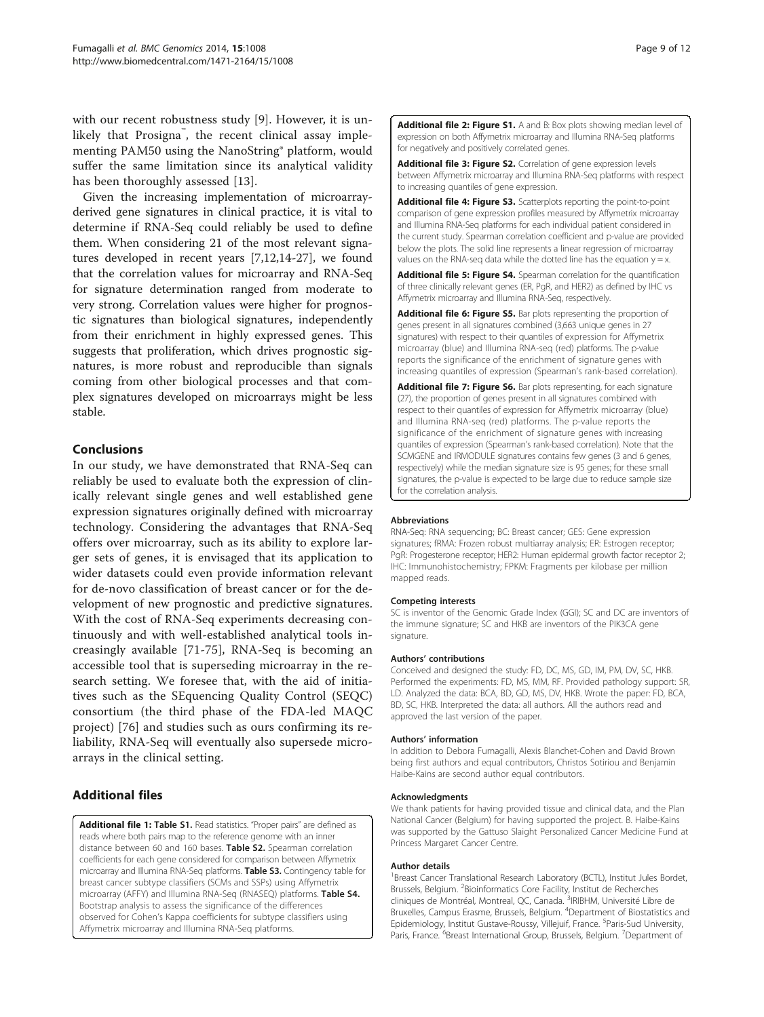<span id="page-8-0"></span>with our recent robustness study [[9\]](#page-9-0). However, it is unlikely that Prosigna<sup>™</sup>, the recent clinical assay implementing PAM50 using the NanoString® platform, would suffer the same limitation since its analytical validity has been thoroughly assessed [\[13](#page-9-0)].

Given the increasing implementation of microarrayderived gene signatures in clinical practice, it is vital to determine if RNA-Seq could reliably be used to define them. When considering 21 of the most relevant signatures developed in recent years [[7](#page-9-0),[12](#page-9-0),[14-27\]](#page-9-0), we found that the correlation values for microarray and RNA-Seq for signature determination ranged from moderate to very strong. Correlation values were higher for prognostic signatures than biological signatures, independently from their enrichment in highly expressed genes. This suggests that proliferation, which drives prognostic signatures, is more robust and reproducible than signals coming from other biological processes and that complex signatures developed on microarrays might be less stable.

## Conclusions

In our study, we have demonstrated that RNA-Seq can reliably be used to evaluate both the expression of clinically relevant single genes and well established gene expression signatures originally defined with microarray technology. Considering the advantages that RNA-Seq offers over microarray, such as its ability to explore larger sets of genes, it is envisaged that its application to wider datasets could even provide information relevant for de-novo classification of breast cancer or for the development of new prognostic and predictive signatures. With the cost of RNA-Seq experiments decreasing continuously and with well-established analytical tools increasingly available [\[71](#page-10-0)-[75\]](#page-11-0), RNA-Seq is becoming an accessible tool that is superseding microarray in the research setting. We foresee that, with the aid of initiatives such as the SEquencing Quality Control (SEQC) consortium (the third phase of the FDA-led MAQC project) [\[76](#page-11-0)] and studies such as ours confirming its reliability, RNA-Seq will eventually also supersede microarrays in the clinical setting.

## Additional files

[Additional file 1:](http://www.biomedcentral.com/content/supplementary/1471-2164-15-1008-S1.xls) Table S1. Read statistics. "Proper pairs" are defined as reads where both pairs map to the reference genome with an inner distance between 60 and 160 bases. Table S2. Spearman correlation coefficients for each gene considered for comparison between Affymetrix microarray and Illumina RNA-Seq platforms. Table S3. Contingency table for breast cancer subtype classifiers (SCMs and SSPs) using Affymetrix microarray (AFFY) and Illumina RNA-Seq (RNASEQ) platforms. Table S4. Bootstrap analysis to assess the significance of the differences observed for Cohen's Kappa coefficients for subtype classifiers using Affymetrix microarray and Illumina RNA-Seq platforms.

[Additional file 2: Figure S1.](http://www.biomedcentral.com/content/supplementary/1471-2164-15-1008-S2.pdf) A and B: Box plots showing median level of expression on both Affymetrix microarray and Illumina RNA-Seq platforms for negatively and positively correlated genes.

[Additional file 3: Figure S2.](http://www.biomedcentral.com/content/supplementary/1471-2164-15-1008-S3.pdf) Correlation of gene expression levels between Affymetrix microarray and Illumina RNA-Seq platforms with respect to increasing quantiles of gene expression.

[Additional file 4: Figure S3.](http://www.biomedcentral.com/content/supplementary/1471-2164-15-1008-S4.pdf) Scatterplots reporting the point-to-point comparison of gene expression profiles measured by Affymetrix microarray and Illumina RNA-Seq platforms for each individual patient considered in the current study. Spearman correlation coefficient and p-value are provided below the plots. The solid line represents a linear regression of microarray values on the RNA-seq data while the dotted line has the equation  $y = x$ .

[Additional file 5: Figure S4.](http://www.biomedcentral.com/content/supplementary/1471-2164-15-1008-S5.pdf) Spearman correlation for the quantification of three clinically relevant genes (ER, PgR, and HER2) as defined by IHC vs Affymetrix microarray and Illumina RNA-Seq, respectively.

[Additional file 6: Figure S5.](http://www.biomedcentral.com/content/supplementary/1471-2164-15-1008-S6.pdf) Bar plots representing the proportion of genes present in all signatures combined (3,663 unique genes in 27 signatures) with respect to their quantiles of expression for Affymetrix microarray (blue) and Illumina RNA-seq (red) platforms. The p-value reports the significance of the enrichment of signature genes with increasing quantiles of expression (Spearman's rank-based correlation).

[Additional file 7: Figure S6.](http://www.biomedcentral.com/content/supplementary/1471-2164-15-1008-S7.pdf) Bar plots representing, for each signature (27), the proportion of genes present in all signatures combined with respect to their quantiles of expression for Affymetrix microarray (blue) and Illumina RNA-seq (red) platforms. The p-value reports the significance of the enrichment of signature genes with increasing quantiles of expression (Spearman's rank-based correlation). Note that the SCMGENE and IRMODULE signatures contains few genes (3 and 6 genes, respectively) while the median signature size is 95 genes; for these small signatures, the p-value is expected to be large due to reduce sample size for the correlation analysis.

#### Abbreviations

RNA-Seq: RNA sequencing; BC: Breast cancer; GES: Gene expression signatures; fRMA: Frozen robust multiarray analysis; ER: Estrogen receptor; PgR: Progesterone receptor; HER2: Human epidermal growth factor receptor 2; IHC: Immunohistochemistry; FPKM: Fragments per kilobase per million mapped reads.

#### Competing interests

SC is inventor of the Genomic Grade Index (GGI); SC and DC are inventors of the immune signature; SC and HKB are inventors of the PIK3CA gene signature.

#### Authors' contributions

Conceived and designed the study: FD, DC, MS, GD, IM, PM, DV, SC, HKB. Performed the experiments: FD, MS, MM, RF. Provided pathology support: SR, LD. Analyzed the data: BCA, BD, GD, MS, DV, HKB. Wrote the paper: FD, BCA, BD, SC, HKB. Interpreted the data: all authors. All the authors read and approved the last version of the paper.

#### Authors' information

In addition to Debora Fumagalli, Alexis Blanchet-Cohen and David Brown being first authors and equal contributors, Christos Sotiriou and Benjamin Haibe-Kains are second author equal contributors.

#### Acknowledgments

We thank patients for having provided tissue and clinical data, and the Plan National Cancer (Belgium) for having supported the project. B. Haibe-Kains was supported by the Gattuso Slaight Personalized Cancer Medicine Fund at Princess Margaret Cancer Centre.

#### Author details

<sup>1</sup> Breast Cancer Translational Research Laboratory (BCTL), Institut Jules Bordet Brussels, Belgium. <sup>2</sup> Bioinformatics Core Facility, Institut de Recherches cliniques de Montréal, Montreal, QC, Canada. <sup>3</sup>IRIBHM, Université Libre de Bruxelles, Campus Erasme, Brussels, Belgium. <sup>4</sup>Department of Biostatistics and Epidemiology, Institut Gustave-Roussy, Villejuif, France. <sup>5</sup>Paris-Sud University Paris, France. <sup>6</sup>Breast International Group, Brussels, Belgium. <sup>7</sup>Department of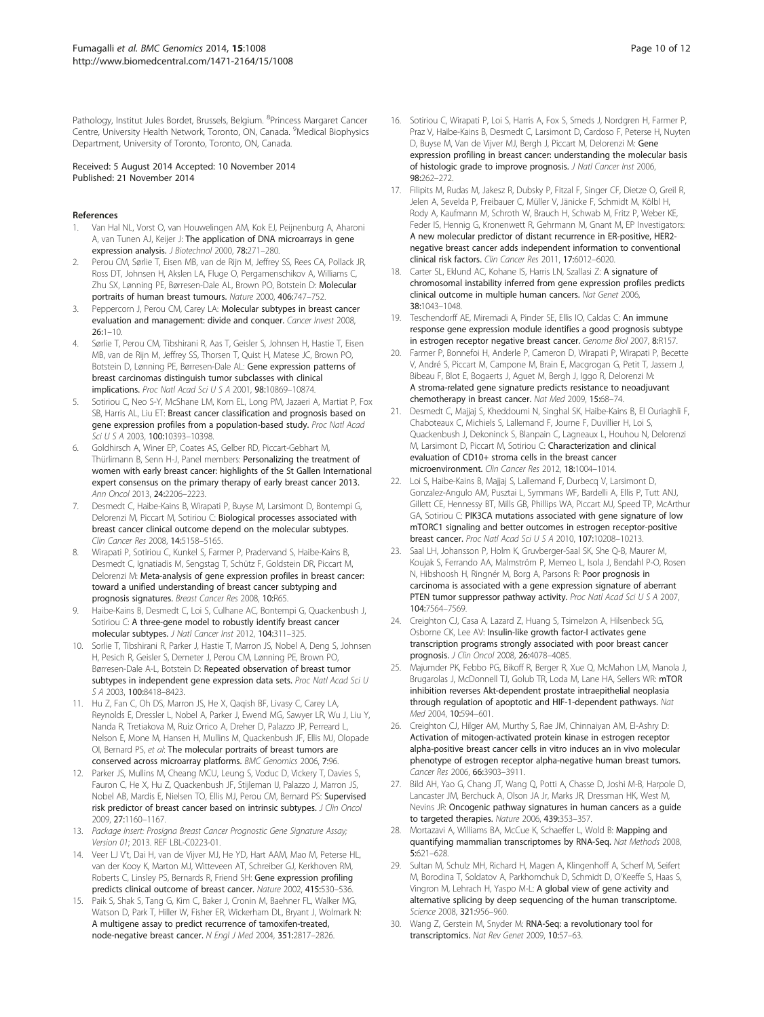<span id="page-9-0"></span>Pathology, Institut Jules Bordet, Brussels, Belgium. <sup>8</sup>Princess Margaret Cancer Centre, University Health Network, Toronto, ON, Canada. <sup>9</sup>Medical Biophysics Department, University of Toronto, Toronto, ON, Canada.

#### Received: 5 August 2014 Accepted: 10 November 2014 Published: 21 November 2014

#### References

- Van Hal NL, Vorst O, van Houwelingen AM, Kok EJ, Peijnenburg A, Aharoni A, van Tunen AJ, Keijer J: The application of DNA microarrays in gene expression analysis. J Biotechnol 2000, 78:271–280.
- 2. Perou CM, Sørlie T, Eisen MB, van de Rijn M, Jeffrey SS, Rees CA, Pollack JR, Ross DT, Johnsen H, Akslen LA, Fluge O, Pergamenschikov A, Williams C, Zhu SX, Lønning PE, Børresen-Dale AL, Brown PO, Botstein D: Molecular portraits of human breast tumours. Nature 2000, 406:747–752.
- Peppercorn J, Perou CM, Carey LA: Molecular subtypes in breast cancer evaluation and management: divide and conquer. Cancer Invest 2008,  $26:1 - 10.$
- 4. Sørlie T, Perou CM, Tibshirani R, Aas T, Geisler S, Johnsen H, Hastie T, Eisen MB, van de Rijn M, Jeffrey SS, Thorsen T, Quist H, Matese JC, Brown PO, Botstein D, Lønning PE, Børresen-Dale AL: Gene expression patterns of breast carcinomas distinguish tumor subclasses with clinical implications. Proc Natl Acad Sci U S A 2001, 98:10869–10874.
- 5. Sotiriou C, Neo S-Y, McShane LM, Korn EL, Long PM, Jazaeri A, Martiat P, Fox SB, Harris AL, Liu ET: Breast cancer classification and prognosis based on gene expression profiles from a population-based study. Proc Natl Acad Sci U S A 2003, 100:10393–10398.
- 6. Goldhirsch A, Winer EP, Coates AS, Gelber RD, Piccart-Gebhart M, Thürlimann B, Senn H-J, Panel members: Personalizing the treatment of women with early breast cancer: highlights of the St Gallen International expert consensus on the primary therapy of early breast cancer 2013. Ann Oncol 2013, 24:2206–2223.
- 7. Desmedt C, Haibe-Kains B, Wirapati P, Buyse M, Larsimont D, Bontempi G, Delorenzi M, Piccart M, Sotiriou C: Biological processes associated with breast cancer clinical outcome depend on the molecular subtypes. Clin Cancer Res 2008, 14:5158–5165.
- 8. Wirapati P, Sotiriou C, Kunkel S, Farmer P, Pradervand S, Haibe-Kains B, Desmedt C, Ignatiadis M, Sengstag T, Schütz F, Goldstein DR, Piccart M, Delorenzi M: Meta-analysis of gene expression profiles in breast cancer: toward a unified understanding of breast cancer subtyping and prognosis signatures. Breast Cancer Res 2008, 10:R65.
- Haibe-Kains B, Desmedt C, Loi S, Culhane AC, Bontempi G, Quackenbush J, Sotiriou C: A three-gene model to robustly identify breast cancer molecular subtypes. J Natl Cancer Inst 2012, 104:311–325.
- 10. Sorlie T, Tibshirani R, Parker J, Hastie T, Marron JS, Nobel A, Deng S, Johnsen H, Pesich R, Geisler S, Demeter J, Perou CM, Lønning PE, Brown PO, Børresen-Dale A-L, Botstein D: Repeated observation of breast tumor subtypes in independent gene expression data sets. Proc Natl Acad Sci U S A 2003, 100:8418–8423.
- 11. Hu Z, Fan C, Oh DS, Marron JS, He X, Qaqish BF, Livasy C, Carey LA, Reynolds E, Dressler L, Nobel A, Parker J, Ewend MG, Sawyer LR, Wu J, Liu Y, Nanda R, Tretiakova M, Ruiz Orrico A, Dreher D, Palazzo JP, Perreard L, Nelson E, Mone M, Hansen H, Mullins M, Quackenbush JF, Ellis MJ, Olopade OI, Bernard PS, et al: The molecular portraits of breast tumors are conserved across microarray platforms. BMC Genomics 2006, 7:96.
- 12. Parker JS, Mullins M, Cheang MCU, Leung S, Voduc D, Vickery T, Davies S, Fauron C, He X, Hu Z, Quackenbush JF, Stijleman IJ, Palazzo J, Marron JS, Nobel AB, Mardis E, Nielsen TO, Ellis MJ, Perou CM, Bernard PS: Supervised risk predictor of breast cancer based on intrinsic subtypes. J Clin Oncol 2009, 27:1160–1167.
- 13. Package Insert: Prosigna Breast Cancer Prognostic Gene Signature Assay; Version 01; 2013. REF LBL-C0223-01.
- 14. Veer LJ V't, Dai H, van de Vijver MJ, He YD, Hart AAM, Mao M, Peterse HL, van der Kooy K, Marton MJ, Witteveen AT, Schreiber GJ, Kerkhoven RM, Roberts C, Linsley PS, Bernards R, Friend SH: Gene expression profiling predicts clinical outcome of breast cancer. Nature 2002, 415:530–536.
- 15. Paik S, Shak S, Tang G, Kim C, Baker J, Cronin M, Baehner FL, Walker MG, Watson D, Park T, Hiller W, Fisher ER, Wickerham DL, Bryant J, Wolmark N: A multigene assay to predict recurrence of tamoxifen-treated, node-negative breast cancer. N Engl J Med 2004, 351:2817–2826.
- 16. Sotiriou C, Wirapati P, Loi S, Harris A, Fox S, Smeds J, Nordgren H, Farmer P, Praz V, Haibe-Kains B, Desmedt C, Larsimont D, Cardoso F, Peterse H, Nuyten D, Buyse M, Van de Vijver MJ, Bergh J, Piccart M, Delorenzi M: Gene expression profiling in breast cancer: understanding the molecular basis of histologic grade to improve prognosis. J Natl Cancer Inst 2006, 98:262–272.
- 17. Filipits M, Rudas M, Jakesz R, Dubsky P, Fitzal F, Singer CF, Dietze O, Greil R, Jelen A, Sevelda P, Freibauer C, Müller V, Jänicke F, Schmidt M, Kölbl H, Rody A, Kaufmann M, Schroth W, Brauch H, Schwab M, Fritz P, Weber KE, Feder IS, Hennig G, Kronenwett R, Gehrmann M, Gnant M, EP Investigators: A new molecular predictor of distant recurrence in ER-positive, HER2 negative breast cancer adds independent information to conventional clinical risk factors. Clin Cancer Res 2011, 17:6012–6020.
- 18. Carter SL, Eklund AC, Kohane IS, Harris LN, Szallasi Z: A signature of chromosomal instability inferred from gene expression profiles predicts clinical outcome in multiple human cancers. Nat Genet 2006, 38:1043–1048.
- 19. Teschendorff AE, Miremadi A, Pinder SE, Ellis IO, Caldas C: An immune response gene expression module identifies a good prognosis subtype in estrogen receptor negative breast cancer. Genome Biol 2007, 8:R157.
- 20. Farmer P, Bonnefoi H, Anderle P, Cameron D, Wirapati P, Wirapati P, Becette V, André S, Piccart M, Campone M, Brain E, Macgrogan G, Petit T, Jassem J, Bibeau F, Blot E, Bogaerts J, Aguet M, Bergh J, Iggo R, Delorenzi M: A stroma-related gene signature predicts resistance to neoadjuvant chemotherapy in breast cancer. Nat Med 2009, 15:68–74.
- 21. Desmedt C, Majjaj S, Kheddoumi N, Singhal SK, Haibe-Kains B, El Ouriaghli F, Chaboteaux C, Michiels S, Lallemand F, Journe F, Duvillier H, Loi S, Quackenbush J, Dekoninck S, Blanpain C, Lagneaux L, Houhou N, Delorenzi M, Larsimont D, Piccart M, Sotiriou C: Characterization and clinical evaluation of CD10+ stroma cells in the breast cancer microenvironment. Clin Cancer Res 2012, 18:1004–1014.
- 22. Loi S, Haibe-Kains B, Majjaj S, Lallemand F, Durbecq V, Larsimont D, Gonzalez-Angulo AM, Pusztai L, Symmans WF, Bardelli A, Ellis P, Tutt ANJ, Gillett CE, Hennessy BT, Mills GB, Phillips WA, Piccart MJ, Speed TP, McArthur GA, Sotiriou C: PIK3CA mutations associated with gene signature of low mTORC1 signaling and better outcomes in estrogen receptor-positive breast cancer. Proc Natl Acad Sci U S A 2010, 107:10208–10213.
- 23. Saal LH, Johansson P, Holm K, Gruvberger-Saal SK, She Q-B, Maurer M, Koujak S, Ferrando AA, Malmström P, Memeo L, Isola J, Bendahl P-O, Rosen N, Hibshoosh H, Ringnér M, Borg A, Parsons R: Poor prognosis in carcinoma is associated with a gene expression signature of aberrant PTEN tumor suppressor pathway activity. Proc Natl Acad Sci U S A 2007, 104:7564–7569.
- 24. Creighton CJ, Casa A, Lazard Z, Huang S, Tsimelzon A, Hilsenbeck SG, Osborne CK, Lee AV: Insulin-like growth factor-I activates gene transcription programs strongly associated with poor breast cancer prognosis. J Clin Oncol 2008, 26:4078–4085.
- 25. Majumder PK, Febbo PG, Bikoff R, Berger R, Xue Q, McMahon LM, Manola J, Brugarolas J, McDonnell TJ, Golub TR, Loda M, Lane HA, Sellers WR: mTOR inhibition reverses Akt-dependent prostate intraepithelial neoplasia through regulation of apoptotic and HIF-1-dependent pathways. Nat Med 2004, 10:594–601.
- 26. Creighton CJ, Hilger AM, Murthy S, Rae JM, Chinnaiyan AM, El-Ashry D: Activation of mitogen-activated protein kinase in estrogen receptor alpha-positive breast cancer cells in vitro induces an in vivo molecular phenotype of estrogen receptor alpha-negative human breast tumors. Cancer Res 2006, 66:3903–3911.
- 27. Bild AH, Yao G, Chang JT, Wang Q, Potti A, Chasse D, Joshi M-B, Harpole D, Lancaster JM, Berchuck A, Olson JA Jr, Marks JR, Dressman HK, West M, Nevins JR: Oncogenic pathway signatures in human cancers as a guide to targeted therapies. Nature 2006, 439:353–357.
- 28. Mortazavi A, Williams BA, McCue K, Schaeffer L, Wold B: Mapping and quantifying mammalian transcriptomes by RNA-Seq. Nat Methods 2008, 5:621–628.
- 29. Sultan M, Schulz MH, Richard H, Magen A, Klingenhoff A, Scherf M, Seifert M, Borodina T, Soldatov A, Parkhomchuk D, Schmidt D, O'Keeffe S, Haas S, Vingron M, Lehrach H, Yaspo M-L: A global view of gene activity and alternative splicing by deep sequencing of the human transcriptome. Science 2008, 321:956–960.
- 30. Wang Z, Gerstein M, Snyder M: RNA-Seq: a revolutionary tool for transcriptomics. Nat Rev Genet 2009, 10:57–63.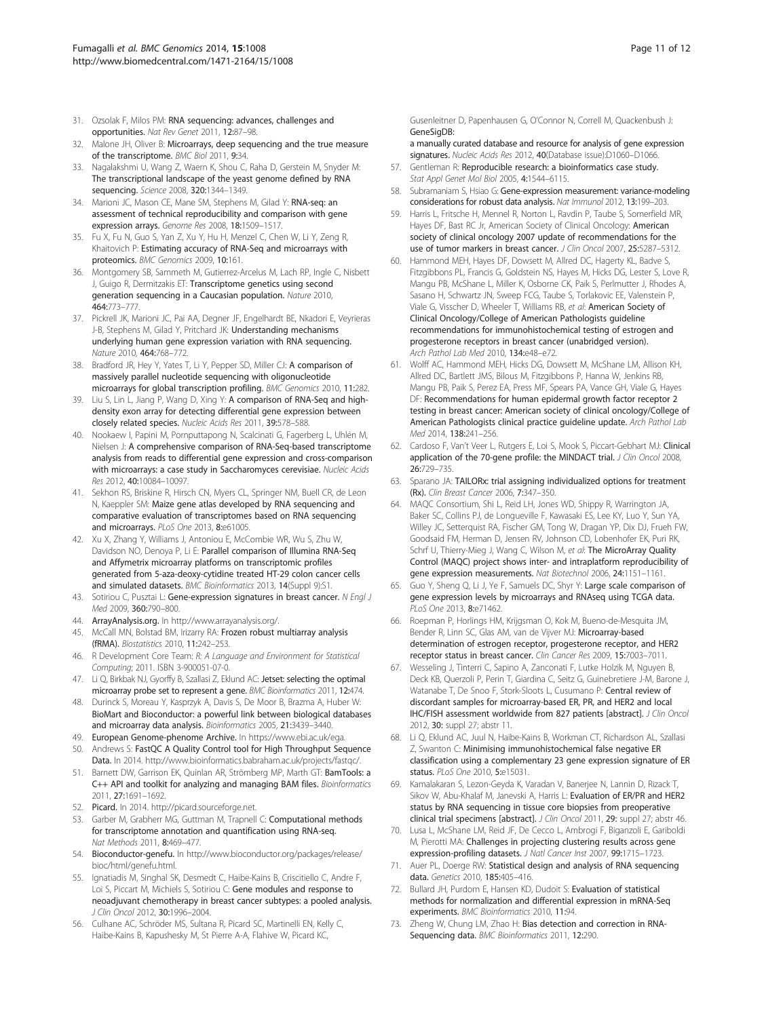- <span id="page-10-0"></span>31. Ozsolak F, Milos PM: RNA sequencing: advances, challenges and opportunities. Nat Rev Genet 2011, 12:87–98.
- 32. Malone JH, Oliver B: Microarrays, deep sequencing and the true measure of the transcriptome. BMC Biol 2011, 9:34.
- 33. Nagalakshmi U, Wang Z, Waern K, Shou C, Raha D, Gerstein M, Snyder M: The transcriptional landscape of the yeast genome defined by RNA sequencing. Science 2008, 320:1344–1349.
- 34. Marioni JC, Mason CE, Mane SM, Stephens M, Gilad Y: RNA-seq: an assessment of technical reproducibility and comparison with gene expression arrays. Genome Res 2008, 18:1509–1517.
- 35. Fu X, Fu N, Guo S, Yan Z, Xu Y, Hu H, Menzel C, Chen W, Li Y, Zeng R, Khaitovich P: Estimating accuracy of RNA-Seq and microarrays with proteomics. BMC Genomics 2009, 10:161.
- 36. Montgomery SB, Sammeth M, Gutierrez-Arcelus M, Lach RP, Ingle C, Nisbett J, Guigo R, Dermitzakis ET: Transcriptome genetics using second generation sequencing in a Caucasian population. Nature 2010, 464:773–777.
- 37. Pickrell JK, Marioni JC, Pai AA, Degner JF, Engelhardt BE, Nkadori E, Veyrieras J-B, Stephens M, Gilad Y, Pritchard JK: Understanding mechanisms underlying human gene expression variation with RNA sequencing. Nature 2010, 464:768–772.
- 38. Bradford JR, Hey Y, Yates T, Li Y, Pepper SD, Miller CJ: A comparison of massively parallel nucleotide sequencing with oligonucleotide microarrays for global transcription profiling. BMC Genomics 2010, 11:282.
- 39. Liu S, Lin L, Jiang P, Wang D, Xing Y: A comparison of RNA-Seq and highdensity exon array for detecting differential gene expression between closely related species. Nucleic Acids Res 2011, 39:578–588.
- 40. Nookaew I, Papini M, Pornputtapong N, Scalcinati G, Fagerberg L, Uhlén M, Nielsen J: A comprehensive comparison of RNA-Seq-based transcriptome analysis from reads to differential gene expression and cross-comparison with microarrays: a case study in Saccharomyces cerevisiae. Nucleic Acids Res 2012, 40:10084–10097.
- 41. Sekhon RS, Briskine R, Hirsch CN, Myers CL, Springer NM, Buell CR, de Leon N, Kaeppler SM: Maize gene atlas developed by RNA sequencing and comparative evaluation of transcriptomes based on RNA sequencing and microarrays. PLoS One 2013, 8:e61005.
- 42. Xu X, Zhang Y, Williams J, Antoniou E, McCombie WR, Wu S, Zhu W, Davidson NO, Denoya P, Li E: Parallel comparison of Illumina RNA-Seq and Affymetrix microarray platforms on transcriptomic profiles generated from 5-aza-deoxy-cytidine treated HT-29 colon cancer cells and simulated datasets. BMC Bioinformatics 2013, 14(Suppl 9):S1.
- 43. Sotiriou C, Pusztai L: Gene-expression signatures in breast cancer. N Engl J Med 2009, 360:790–800.
- 44. ArrayAnalysis.org. In [http://www.arrayanalysis.org/.](http://www.arrayanalysis.org/)
- 45. McCall MN, Bolstad BM, Irizarry RA: Frozen robust multiarray analysis (fRMA). Biostatistics 2010, 11:242–253.
- 46. R Development Core Team: R: A Language and Environment for Statistical Computing; 2011. ISBN 3-900051-07-0.
- 47. Li Q, Birkbak NJ, Gyorffy B, Szallasi Z, Eklund AC: Jetset: selecting the optimal microarray probe set to represent a gene. BMC Bioinformatics 2011, 12:474.
- 48. Durinck S, Moreau Y, Kasprzyk A, Davis S, De Moor B, Brazma A, Huber W: BioMart and Bioconductor: a powerful link between biological databases and microarray data analysis. Bioinformatics 2005, 21:3439–3440.
- 49. European Genome-phenome Archive. In<https://www.ebi.ac.uk/ega>.
- 50. Andrews S: FastQC A Quality Control tool for High Throughput Sequence Data. In 2014. [http://www.bioinformatics.babraham.ac.uk/projects/fastqc/.](http://www.bioinformatics.babraham.ac.uk/projects/fastqc/)
- 51. Barnett DW, Garrison EK, Quinlan AR, Strömberg MP, Marth GT: BamTools: a C++ API and toolkit for analyzing and managing BAM files. Bioinformatics 2011, 27:1691–1692.
- 52. Picard. In 2014. [http://picard.sourceforge.net.](http://picard.sourceforge.net/)
- 53. Garber M, Grabherr MG, Guttman M, Trapnell C: Computational methods for transcriptome annotation and quantification using RNA-seq. Nat Methods 2011, 8:469–477.
- 54. Bioconductor-genefu. In [http://www.bioconductor.org/packages/release/](http://www.bioconductor.org/packages/release/bioc/html/genefu.html) [bioc/html/genefu.html](http://www.bioconductor.org/packages/release/bioc/html/genefu.html).
- 55. Ignatiadis M, Singhal SK, Desmedt C, Haibe-Kains B, Criscitiello C, Andre F, Loi S, Piccart M, Michiels S, Sotiriou C: Gene modules and response to neoadjuvant chemotherapy in breast cancer subtypes: a pooled analysis. J Clin Oncol 2012, 30:1996–2004.
- 56. Culhane AC, Schröder MS, Sultana R, Picard SC, Martinelli EN, Kelly C, Haibe-Kains B, Kapushesky M, St Pierre A-A, Flahive W, Picard KC,

Gusenleitner D, Papenhausen G, O'Connor N, Correll M, Quackenbush J: GeneSigDB:

a manually curated database and resource for analysis of gene expression signatures. Nucleic Acids Res 2012, 40(Database issue):D1060-D1066.

- 57. Gentleman R: Reproducible research: a bioinformatics case study. Stat Appl Genet Mol Biol 2005, 4:1544-6115.
- 58. Subramaniam S, Hsiao G: Gene-expression measurement: variance-modeling considerations for robust data analysis. Nat Immunol 2012, 13:199-203.
- 59. Harris L, Fritsche H, Mennel R, Norton L, Ravdin P, Taube S, Somerfield MR, Hayes DF, Bast RC Jr, American Society of Clinical Oncology: American society of clinical oncology 2007 update of recommendations for the use of tumor markers in breast cancer. J Clin Oncol 2007, 25:5287-5312.
- 60. Hammond MEH, Hayes DF, Dowsett M, Allred DC, Hagerty KL, Badve S, Fitzgibbons PL, Francis G, Goldstein NS, Hayes M, Hicks DG, Lester S, Love R, Mangu PB, McShane L, Miller K, Osborne CK, Paik S, Perlmutter J, Rhodes A, Sasano H, Schwartz JN, Sweep FCG, Taube S, Torlakovic EE, Valenstein P, Viale G, Visscher D, Wheeler T, Williams RB, et al: American Society of Clinical Oncology/College of American Pathologists guideline recommendations for immunohistochemical testing of estrogen and progesterone receptors in breast cancer (unabridged version). Arch Pathol Lab Med 2010, 134:e48-e72.
- 61. Wolff AC, Hammond MEH, Hicks DG, Dowsett M, McShane LM, Allison KH, Allred DC, Bartlett JMS, Bilous M, Fitzgibbons P, Hanna W, Jenkins RB, Mangu PB, Paik S, Perez EA, Press MF, Spears PA, Vance GH, Viale G, Hayes DF: Recommendations for human epidermal growth factor receptor 2 testing in breast cancer: American society of clinical oncology/College of American Pathologists clinical practice guideline update. Arch Pathol Lab Med 2014, 138:241–256.
- 62. Cardoso F, Van't Veer L, Rutgers E, Loi S, Mook S, Piccart-Gebhart MJ: Clinical application of the 70-gene profile: the MINDACT trial. J Clin Oncol 2008, 26:729–735.
- 63. Sparano JA: TAILORx: trial assigning individualized options for treatment (Rx). Clin Breast Cancer 2006, 7:347–350.
- 64. MAQC Consortium, Shi L, Reid LH, Jones WD, Shippy R, Warrington JA, Baker SC, Collins PJ, de Longueville F, Kawasaki ES, Lee KY, Luo Y, Sun YA, Willey JC, Setterquist RA, Fischer GM, Tong W, Dragan YP, Dix DJ, Frueh FW, Goodsaid FM, Herman D, Jensen RV, Johnson CD, Lobenhofer EK, Puri RK, Schrf U, Thierry-Mieg J, Wang C, Wilson M, et al: The MicroArray Quality Control (MAQC) project shows inter- and intraplatform reproducibility of gene expression measurements. Nat Biotechnol 2006, 24:1151–1161.
- 65. Guo Y, Sheng Q, Li J, Ye F, Samuels DC, Shyr Y: Large scale comparison of gene expression levels by microarrays and RNAseq using TCGA data. PLoS One 2013, 8:e71462.
- 66. Roepman P, Horlings HM, Krijgsman O, Kok M, Bueno-de-Mesquita JM, Bender R, Linn SC, Glas AM, van de Vijver MJ: Microarray-based determination of estrogen receptor, progesterone receptor, and HER2 receptor status in breast cancer. Clin Cancer Res 2009, 15:7003–7011.
- 67. Wesseling J, Tinterri C, Sapino A, Zanconati F, Lutke Holzik M, Nguyen B, Deck KB, Querzoli P, Perin T, Giardina C, Seitz G, Guinebretiere J-M, Barone J, Watanabe T, De Snoo F, Stork-Sloots L, Cusumano P: Central review of discordant samples for microarray-based ER, PR, and HER2 and local IHC/FISH assessment worldwide from 827 patients [abstract]. J Clin Oncol 2012, 30: suppl 27; abstr 11.
- 68. Li Q, Eklund AC, Juul N, Haibe-Kains B, Workman CT, Richardson AL, Szallasi Z, Swanton C: Minimising immunohistochemical false negative ER classification using a complementary 23 gene expression signature of ER status. PLoS One 2010, 5:e15031.
- 69. Kamalakaran S, Lezon-Geyda K, Varadan V, Banerjee N, Lannin D, Rizack T, Sikov W, Abu-Khalaf M, Janevski A, Harris L: Evaluation of ER/PR and HER2 status by RNA sequencing in tissue core biopsies from preoperative clinical trial specimens [abstract]. J Clin Oncol 2011, 29: suppl 27; abstr 46.
- 70. Lusa L, McShane LM, Reid JF, De Cecco L, Ambrogi F, Biganzoli E, Gariboldi M, Pierotti MA: Challenges in projecting clustering results across gene expression-profiling datasets. J Natl Cancer Inst 2007, 99:1715-1723.
- 71. Auer PL, Doerge RW: Statistical design and analysis of RNA sequencing data. Genetics 2010, 185:405–416.
- 72. Bullard JH, Purdom E, Hansen KD, Dudoit S: Evaluation of statistical methods for normalization and differential expression in mRNA-Seq experiments. BMC Bioinformatics 2010, 11:94.
- 73. Zheng W, Chung LM, Zhao H: Bias detection and correction in RNA-Sequencing data. BMC Bioinformatics 2011, 12:290.